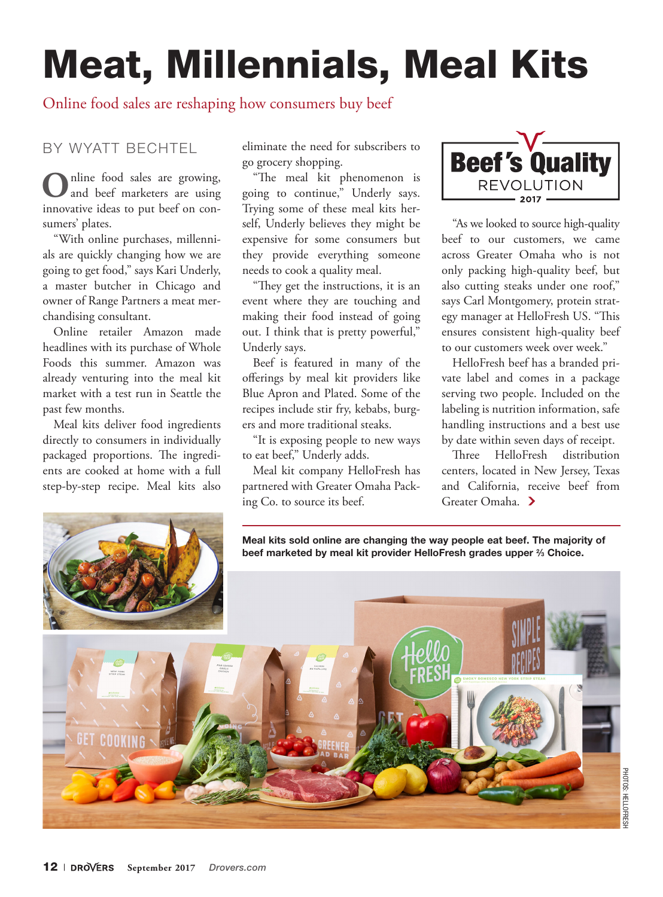# Meat, Millennials, Meal Kits

# Online food sales are reshaping how consumers buy beef

## BY WYATT BECHTEL

**O**nline food sales are growing, and beef marketers are using innovative ideas to put beef on consumers' plates.

"With online purchases, millennials are quickly changing how we are going to get food," says Kari Underly, a master butcher in Chicago and owner of Range Partners a meat merchandising consultant.

Online retailer Amazon made headlines with its purchase of Whole Foods this summer. Amazon was already venturing into the meal kit market with a test run in Seattle the past few months.

Meal kits deliver food ingredients directly to consumers in individually packaged proportions. The ingredients are cooked at home with a full step-by-step recipe. Meal kits also

eliminate the need for subscribers to go grocery shopping.

"The meal kit phenomenon is going to continue," Underly says. Trying some of these meal kits herself, Underly believes they might be expensive for some consumers but they provide everything someone needs to cook a quality meal.

"They get the instructions, it is an event where they are touching and making their food instead of going out. I think that is pretty powerful," Underly says.

Beef is featured in many of the offerings by meal kit providers like Blue Apron and Plated. Some of the recipes include stir fry, kebabs, burgers and more traditional steaks.

"It is exposing people to new ways to eat beef," Underly adds.

Meal kit company HelloFresh has partnered with Greater Omaha Packing Co. to source its beef.



"As we looked to source high-quality beef to our customers, we came across Greater Omaha who is not only packing high-quality beef, but also cutting steaks under one roof," says Carl Montgomery, protein strategy manager at HelloFresh US. "This ensures consistent high-quality beef to our customers week over week."

HelloFresh beef has a branded private label and comes in a package serving two people. Included on the labeling is nutrition information, safe handling instructions and a best use by date within seven days of receipt.

Three HelloFresh distribution centers, located in New Jersey, Texas and California, receive beef from Greater Omaha.